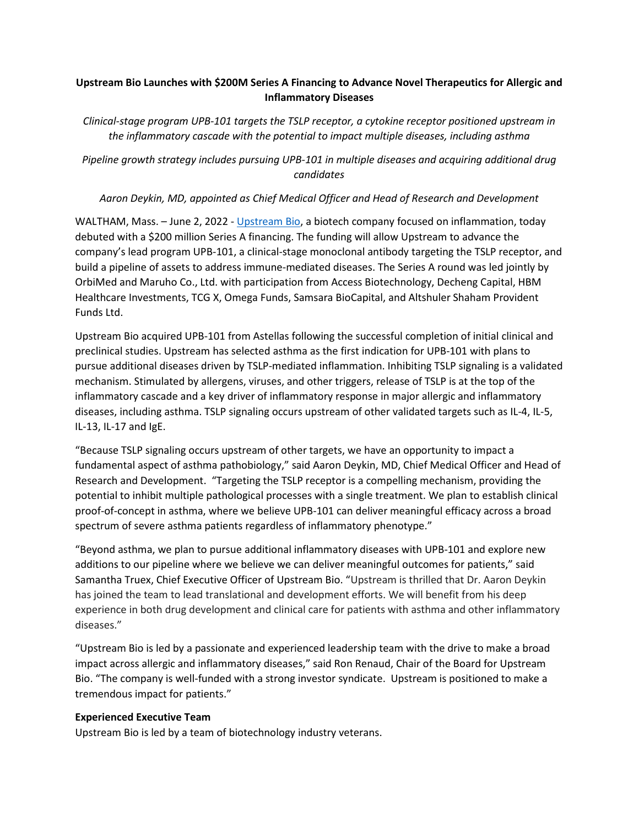## **Upstream Bio Launches with \$200M Series A Financing to Advance Novel Therapeutics for Allergic and Inflammatory Diseases**

*Clinical-stage program UPB-101 targets the TSLP receptor, a cytokine receptor positioned upstream in the inflammatory cascade with the potential to impact multiple diseases, including asthma*

*Pipeline growth strategy includes pursuing UPB-101 in multiple diseases and acquiring additional drug candidates*

## *Aaron Deykin, MD, appointed as Chief Medical Officer and Head of Research and Development*

WALTHAM, Mass. - June 2, 2022 - [Upstream Bio,](https://www.upstreambio.com/) a biotech company focused on inflammation, today debuted with a \$200 million Series A financing. The funding will allow Upstream to advance the company's lead program UPB-101, a clinical-stage monoclonal antibody targeting the TSLP receptor, and build a pipeline of assets to address immune-mediated diseases. The Series A round was led jointly by OrbiMed and Maruho Co., Ltd. with participation from Access Biotechnology, Decheng Capital, HBM Healthcare Investments, TCG X, Omega Funds, Samsara BioCapital, and Altshuler Shaham Provident Funds Ltd.

Upstream Bio acquired UPB-101 from Astellas following the successful completion of initial clinical and preclinical studies. Upstream has selected asthma as the first indication for UPB-101 with plans to pursue additional diseases driven by TSLP-mediated inflammation. Inhibiting TSLP signaling is a validated mechanism. Stimulated by allergens, viruses, and other triggers, release of TSLP is at the top of the inflammatory cascade and a key driver of inflammatory response in major allergic and inflammatory diseases, including asthma. TSLP signaling occurs upstream of other validated targets such as IL-4, IL-5, IL-13, IL-17 and IgE.

"Because TSLP signaling occurs upstream of other targets, we have an opportunity to impact a fundamental aspect of asthma pathobiology," said Aaron Deykin, MD, Chief Medical Officer and Head of Research and Development. "Targeting the TSLP receptor is a compelling mechanism, providing the potential to inhibit multiple pathological processes with a single treatment. We plan to establish clinical proof-of-concept in asthma, where we believe UPB-101 can deliver meaningful efficacy across a broad spectrum of severe asthma patients regardless of inflammatory phenotype."

"Beyond asthma, we plan to pursue additional inflammatory diseases with UPB-101 and explore new additions to our pipeline where we believe we can deliver meaningful outcomes for patients," said Samantha Truex, Chief Executive Officer of Upstream Bio. "Upstream is thrilled that Dr. Aaron Deykin has joined the team to lead translational and development efforts. We will benefit from his deep experience in both drug development and clinical care for patients with asthma and other inflammatory diseases."

"Upstream Bio is led by a passionate and experienced leadership team with the drive to make a broad impact across allergic and inflammatory diseases," said Ron Renaud, Chair of the Board for Upstream Bio. "The company is well-funded with a strong investor syndicate. Upstream is positioned to make a tremendous impact for patients."

## **Experienced Executive Team**

Upstream Bio is led by a team of biotechnology industry veterans.